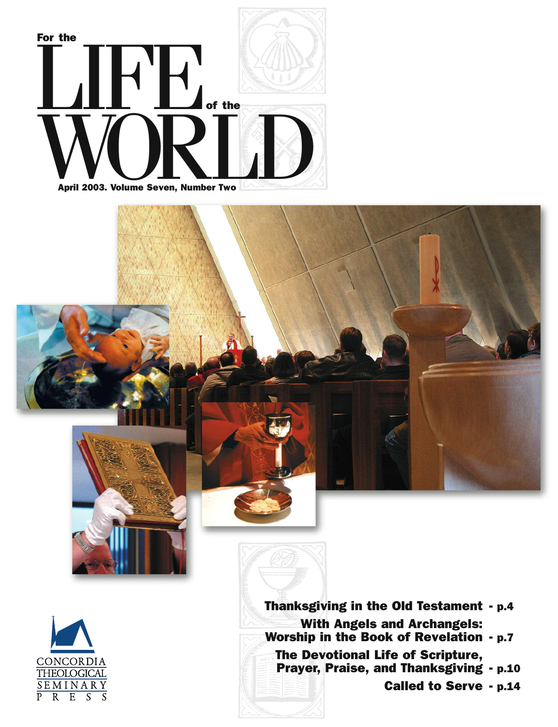



**Thanksgiving in the Old Testament - p.4 With Angels and Archangels: Worship in the Book of Revelation - p.7 The Devotional Life of Scripture, Prayer, Praise, and Thanksgiving - p.10 Called to Serve - p.14**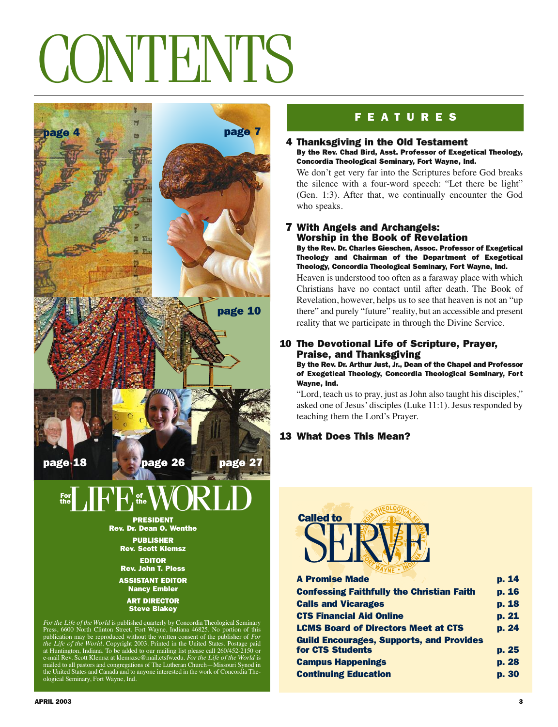### CONTENTS



For the Life of the World is published quarterly by Concordia Theological Seminary<br>Press, 6600 North Clinton Street, Fort Wayne, Indiana 46825. No portion of this<br>publication may be reproduced without the written consent ological Seminary, Fort Wayne, Ind.

### **F E A T U R E S**

### **4 Thanksgiving in the Old Testament By the Rev. Chad Bird, Asst. Professor of Exegetical Theology, Concordia Theological Seminary, Fort Wayne, Ind.**

We don't get very far into the Scriptures before God breaks the silence with a four-word speech: "Let there be light" (Gen. 1:3). After that, we continually encounter the God who speaks.

### **7 With Angels and Archangels: Worship in the Book of Revelation**

**By the Rev. Dr. Charles Gieschen, Assoc. Professor of Exegetical Theology and Chairman of the Department of Exegetical Theology, Concordia Theological Seminary, Fort Wayne, Ind.**

Heaven is understood too often as a faraway place with which Christians have no contact until after death. The Book of Revelation, however, helps us to see that heaven is not an "up there" and purely "future" reality, but an accessible and present reality that we participate in through the Divine Service.

### **10 The Devotional Life of Scripture, Prayer, Praise, and Thanksgiving**

**By the Rev. Dr. Arthur Just, Jr., Dean of the Chapel and Professor of Exegetical Theology, Concordia Theological Seminary, Fort Wayne, Ind.**

"Lord, teach us to pray, just as John also taught his disciples," asked one of Jesus' disciples (Luke 11:1). Jesus responded by teaching them the Lord's Prayer.

### **13 What Does This Mean?**



| <b>A Promise Made</b>                            | p. 14 |
|--------------------------------------------------|-------|
| <b>Confessing Faithfully the Christian Faith</b> | p. 16 |
| <b>Calls and Vicarages</b>                       | p. 18 |
| <b>CTS Financial Aid Online</b>                  | p. 21 |
| <b>LCMS Board of Directors Meet at CTS</b>       | p. 24 |
| <b>Guild Encourages, Supports, and Provides</b>  |       |
| <b>for CTS Students</b>                          | p. 25 |
| <b>Campus Happenings</b>                         | p. 28 |
| <b>Continuing Education</b>                      | p. 30 |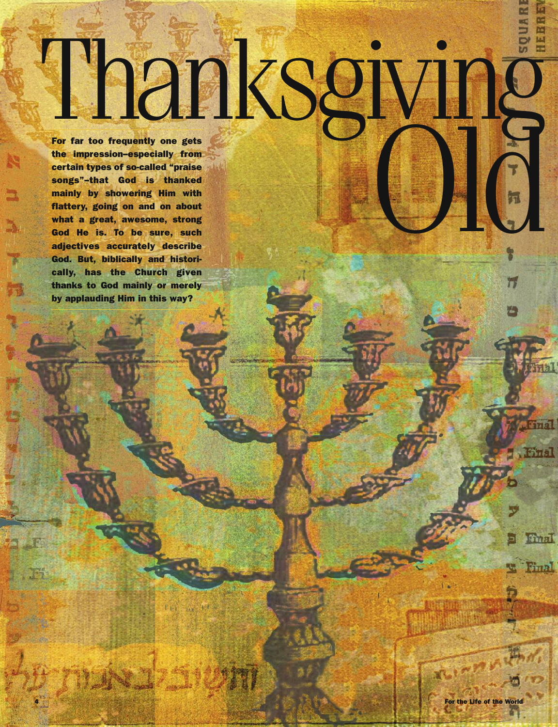# Thanks *from far* thoo *frequently* one gets<br>the the present spin care and the present spin contains of so-called "praise<br>excepts of so-called "praise<br>excepts"-that dod is thanked<br>mainly by showering tim with<br>native y give

**For far too frequently one gets the impression–especially from certain types of so-called "praise songs"–that God is thanked mainly by showering Him with flattery, going on and on about what a great, awesome, strong God He is. To be sure, such adjectives accurately describe God. But, biblically and historically, has the Church given thanks to God mainly or merely by applauding Him in this way?**

ha. 1

**Rithrida** 

Final

Final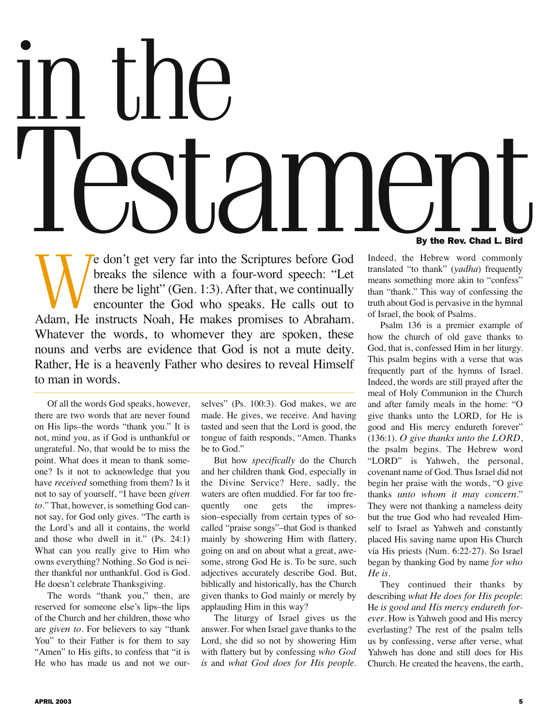## in the Test very far into the Scriptures before God Indeed, the Hebrew word commonly **By the Rev. Chad L. Bird**

We don't get very far into the Scriptures before God breaks the silence with a four-word speech: "Let there be light" (Gen. 1:3). After that, we continually encounter the God who speaks. He calls out to Adam, He instructs breaks the silence with a four-word speech: "Let there be light" (Gen. 1:3). After that, we continually encounter the God who speaks. He calls out to Whatever the words, to whomever they are spoken, these nouns and verbs are evidence that God is not a mute deity. Rather, He is a heavenly Father who desires to reveal Himself to man in words.

Of all the words God speaks, however, there are two words that are never found on His lips–the words "thank you." It is not, mind you, as if God is unthankful or ungrateful. No, that would be to miss the point. What does it mean to thank someone? Is it not to acknowledge that you have *received* something from them? Is it not to say of yourself, "I have been *given to*." That, however, is something God cannot say, for God only gives. "The earth is the Lord's and all it contains, the world and those who dwell in it." (Ps. 24:1) What can you really give to Him who owns everything? Nothing. So God is neither thankful nor unthankful. God is God. He doesn't celebrate Thanksgiving.

The words "thank you," then, are reserved for someone else's lips–the lips of the Church and her children, those who are *given to*. For believers to say "thank You" to their Father is for them to say "Amen" to His gifts, to confess that "it is He who has made us and not we ourselves" (Ps. 100:3). God makes, we are made. He gives, we receive. And having tasted and seen that the Lord is good, the tongue of faith responds, "Amen. Thanks be to God."

But how *specifically* do the Church and her children thank God, especially in the Divine Service? Here, sadly, the waters are often muddied. For far too frequently one gets the impression–especially from certain types of socalled "praise songs"–that God is thanked mainly by showering Him with flattery, going on and on about what a great, awesome, strong God He is. To be sure, such adjectives accurately describe God. But, biblically and historically, has the Church given thanks to God mainly or merely by applauding Him in this way?

The liturgy of Israel gives us the answer. For when Israel gave thanks to the Lord, she did so not by showering Him with flattery but by confessing *who God is* and *what God does for His people*.

Indeed, the Hebrew word commonly translated "to thank" (*yadha*) frequently means something more akin to "confess" than "thank." This way of confessing the truth about God is pervasive in the hymnal of Israel, the book of Psalms.

Psalm 136 is a premier example of how the church of old gave thanks to God, that is, confessed Him in her liturgy. This psalm begins with a verse that was frequently part of the hymns of Israel. Indeed, the words are still prayed after the meal of Holy Communion in the Church and after family meals in the home: "O give thanks unto the LORD, for He is good and His mercy endureth forever" (136:1). *O give thanks unto the LORD*, the psalm begins. The Hebrew word "LORD" is Yahweh, the personal, covenant name of God. Thus Israel did not begin her praise with the words, "O give thanks *unto whom it may concern*." They were not thanking a nameless deity but the true God who had revealed Himself to Israel as Yahweh and constantly placed His saving name upon His Church via His priests (Num. 6:22-27). So Israel began by thanking God by name *for who He is*.

They continued their thanks by describing *what He does for His people*: He *is good and His mercy endureth forever*. How is Yahweh good and His mercy everlasting? The rest of the psalm tells us by confessing, verse after verse, what Yahweh has done and still does for His Church. He created the heavens, the earth,